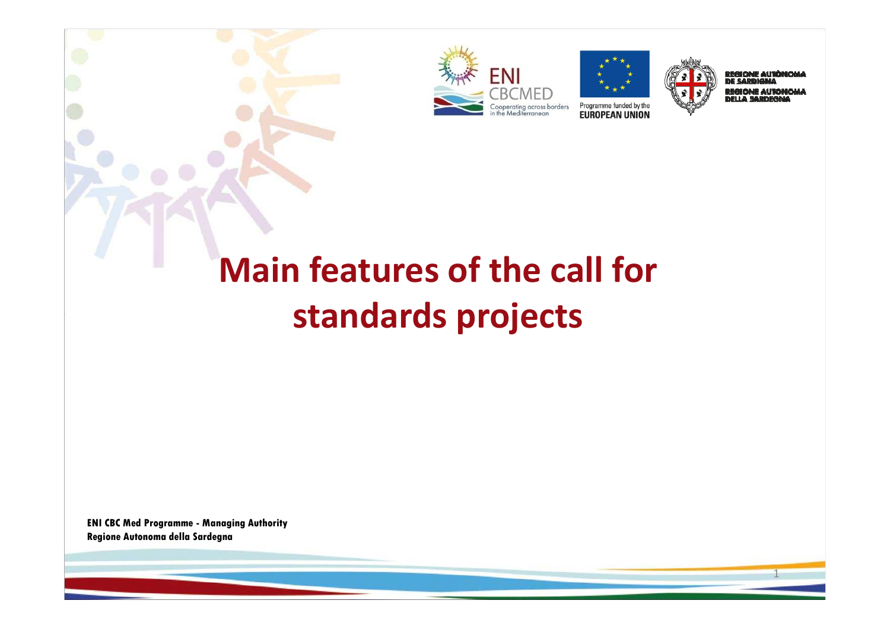





EGIONE AUTÓR **DE SARDIGNA REGIONE AUTONOMA** m i A

1

# **Main features of the call for standards projects**

**ENI CBC Med Programme - Managing Authority Regione Autonoma della Sardegna**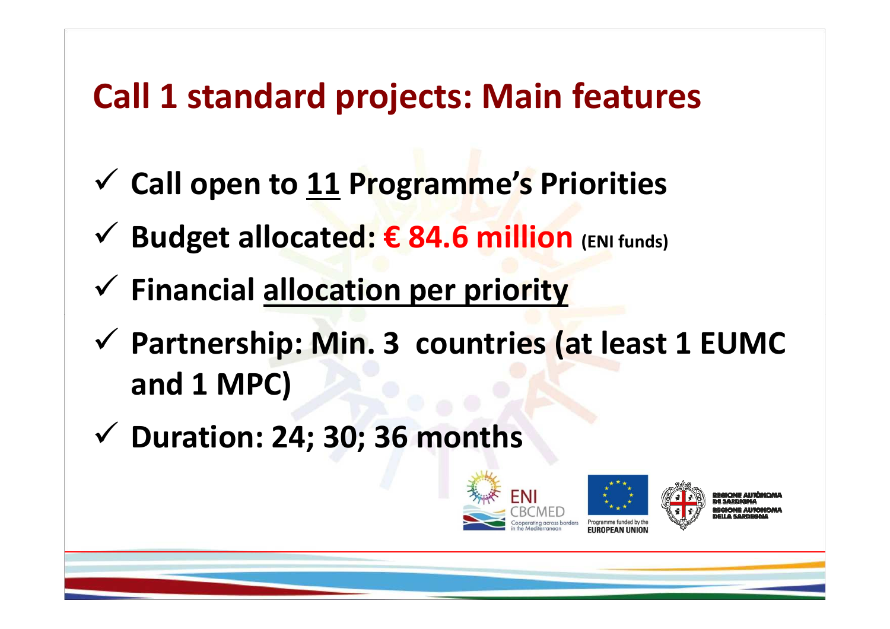# **Call 1 standard projects: Main features**

- **Call open to 11 Programme's Priorities**
- **Budget allocated: € 84.6 million (ENI funds)**
- **Financial allocation per priority**
- **Partnership: Min. 3 countries (at least 1 EUMC and 1 MPC)**
- **Duration: 24; 30; 36 months**





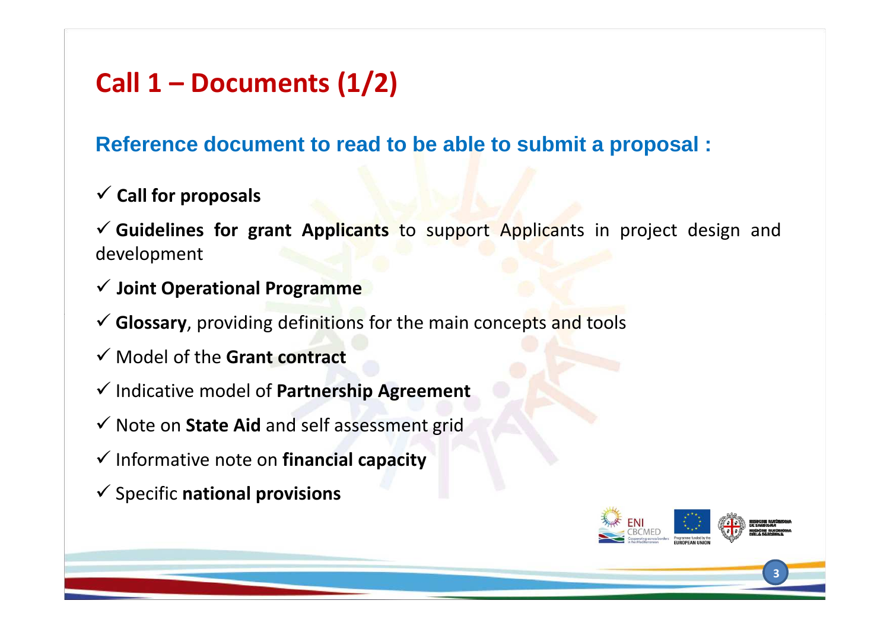### **Call 1 – Documents (1/2)**

**Reference document to read to be able to submit <sup>a</sup> proposal :**

**Call for proposals**

 **Guidelines for grant Applicants** to support Applicants in project design and development

- **Joint Operational Programme**
- **Glossary**, providing definitions for the main concepts and tools
- Model of the **Grant contract**
- Indicative model of **Partnership Agreement**
- Note on **State Aid** and self assessment grid
- Informative note on **financial capacity**
- Specific **national provisions**

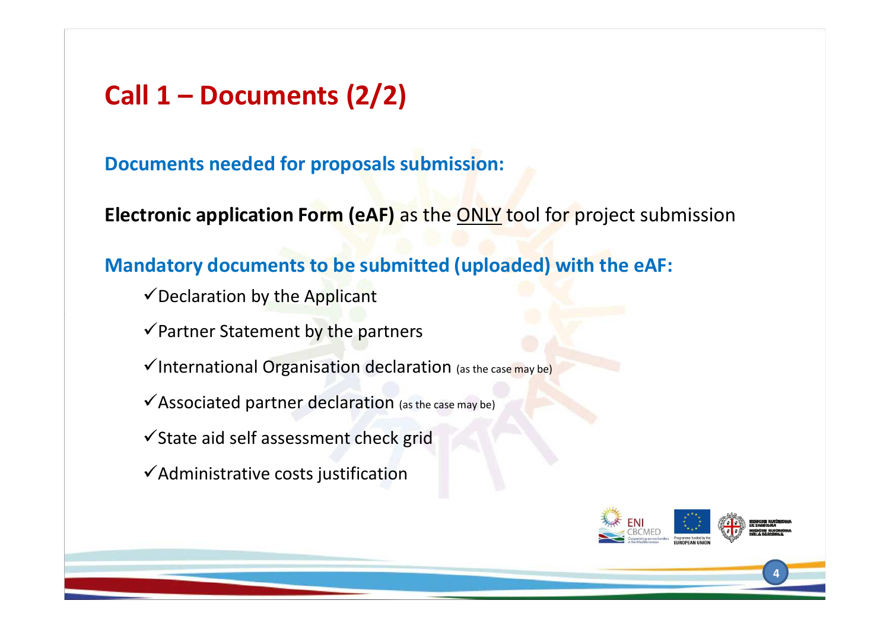### **Call 1 – Documents (2/2)**

#### **Documents needed for proposals submission:**

**Electronic application Form (eAF)** as the **ONLY** tool for project submission

#### **Mandatory documents to be submitted (uploaded) with the eAF:**

- $\checkmark$  Declaration by the Applicant
- $\checkmark$  Partner Statement by the partners
- $\checkmark$  International Organisation declaration (as the case may be)
- $\checkmark$  Associated partner declaration (as the case may be)
- $\checkmark$  State aid self assessment check grid
- $\checkmark$  Administrative costs justification



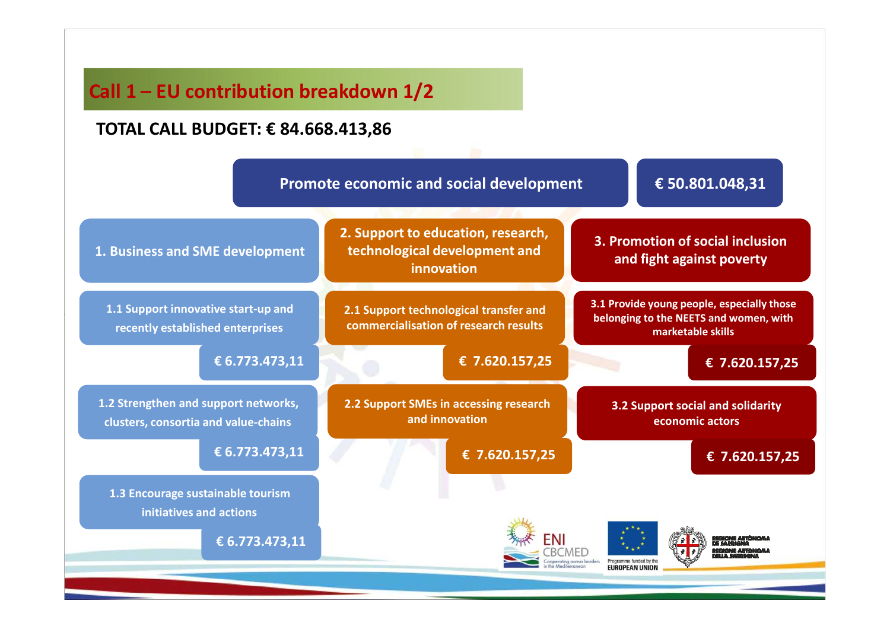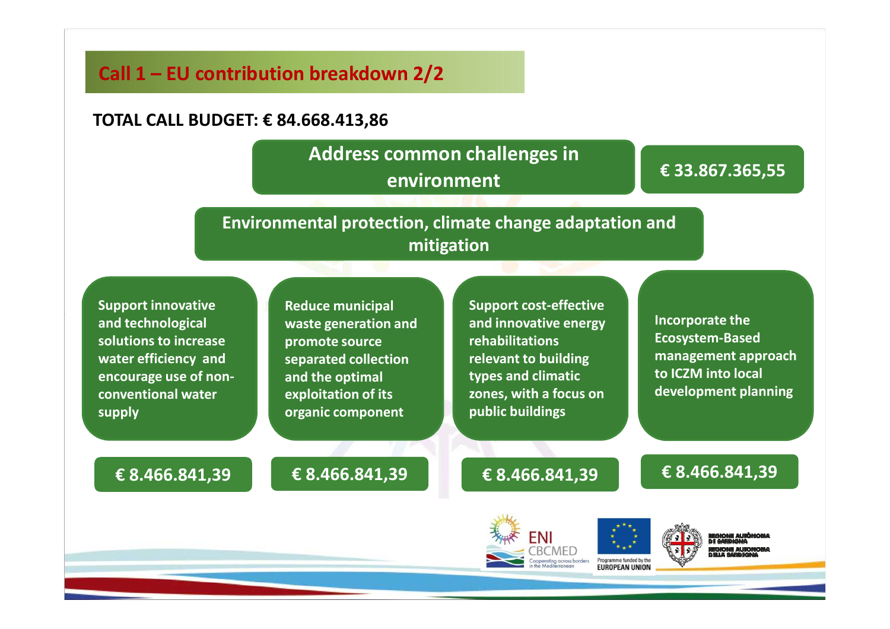#### **Call 1 – EU contribution breakdown 2/2**

#### **TOTAL CALL BUDGET: € 84.668.413,86**

#### **Address common challenges in environment**

#### **€ 33.867.365,55**

**Environmental protection, climate change adaptation andmitigation**

**Support innovative and technological solutions to increase water efficiency and encourage use of nonconventional water supply**

**Reduce municipal waste generation and promote source separated collection and the optimal exploitation of its organic component** 

**Support cost-effective and innovative energy rehabilitations relevant to building types and climatic zones, with a focus on public buildings**

**Incorporate the Ecosystem-Based management approach to ICZM into local development planning** 

**€ 8.466.841,39**

#### **€ 8.466.841,39**



**€ 8.466.841,39**





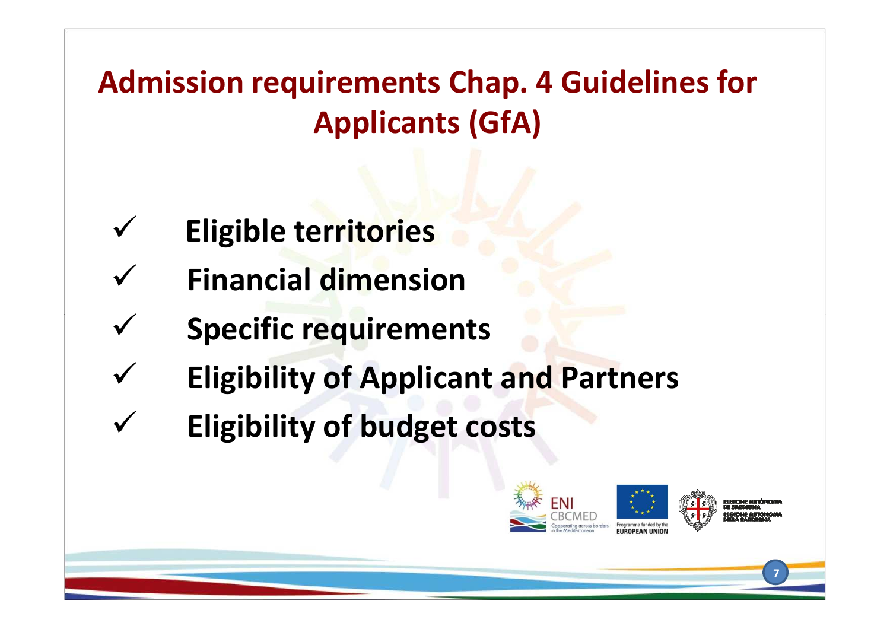**Admission requirements Chap. 4 Guidelines for Applicants (GfA)**

- $\checkmark$ **Eligible territories**
- $\checkmark$ **Financial dimension**
- $\checkmark$ **Specific requirements**
- $\checkmark$ **Eligibility of Applicant and Partners**
- $\checkmark$ **Eligibility of budget costs**

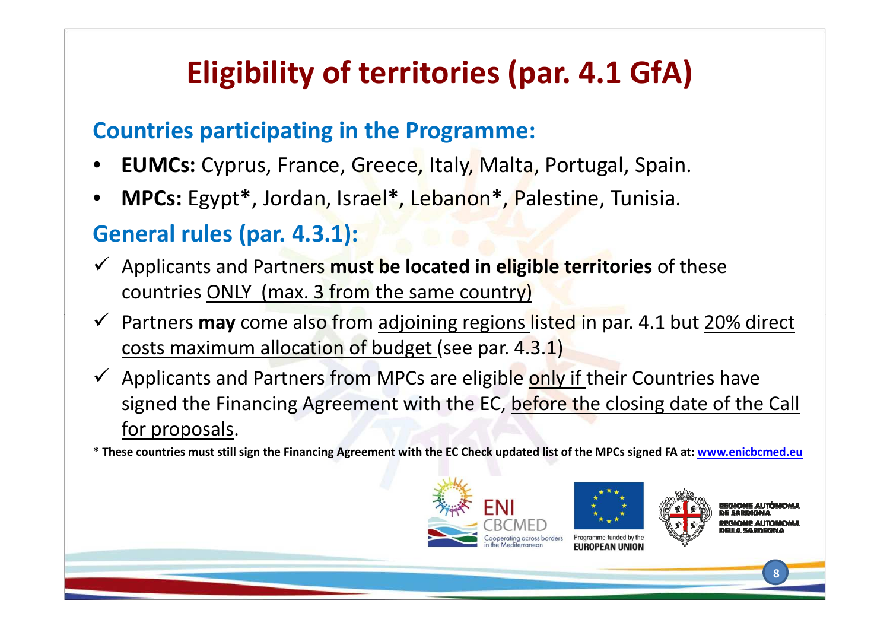## **Eligibility of territories (par. 4.1 GfA)**

### **Countries participating in the Programme:**

- •**EUMCs:** Cyprus, France, Greece, Italy, Malta, Portugal, Spain.
- •**MPCs:** Egypt **\***, Jordan, Israel**\***, Lebanon**\***, Palestine, Tunisia.

### **General rules (par. 4.3.1):**

- Applicants and Partners **must be located in eligible territories** of these countries ONLY (max. 3 from the same country)
- $\checkmark$  Partners **may** come also from adjoining regions listed in par. 4.1 but 20% direct costs maximum allocation of budget (see par. 4.3.1)
- $\checkmark$  Applicants and Partners from MPCs are eligible only if their Countries have signed the Financing Agreement with the EC, before the closing date of the Call for proposals.

**\* These countries must still sign the Financing Agreement with the EC Check updated list of the MPCs signed FA at: www.enicbcmed.eu**





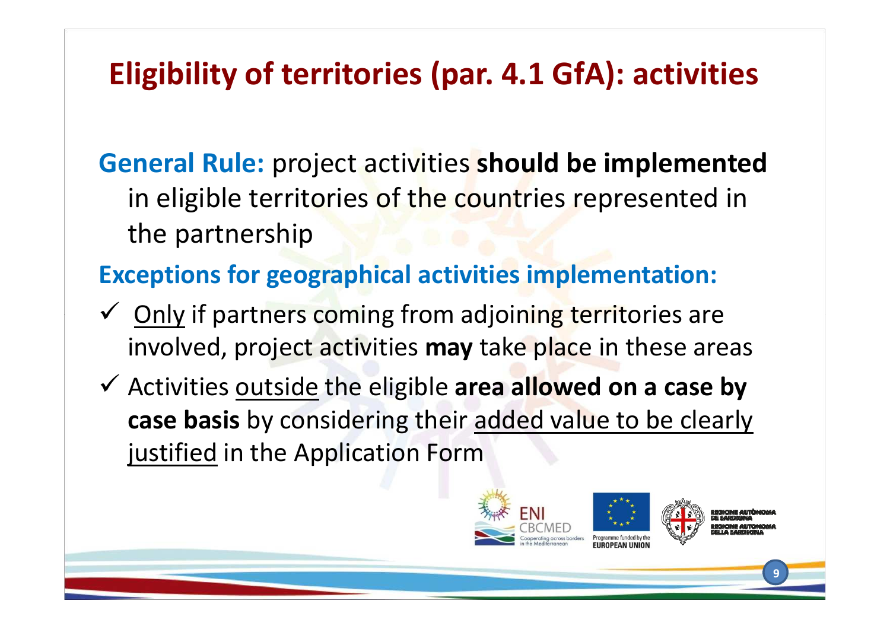## **Eligibility of territories (par. 4.1 GfA): activities**

**General Rule:** project activities **should be implemented**  in eligible territories of the countries represented in the partnership

### **Exceptions for geographical activities implementation:**

- **✓** Only if partners coming from adjoining territories are<br>
invelued resised attivities may take also in these are involved, project activities **may** take place in these areas
- Activities outside the eligible **area allowed on a case by case basis** by considering their added value to be clearly justified in the Application Form



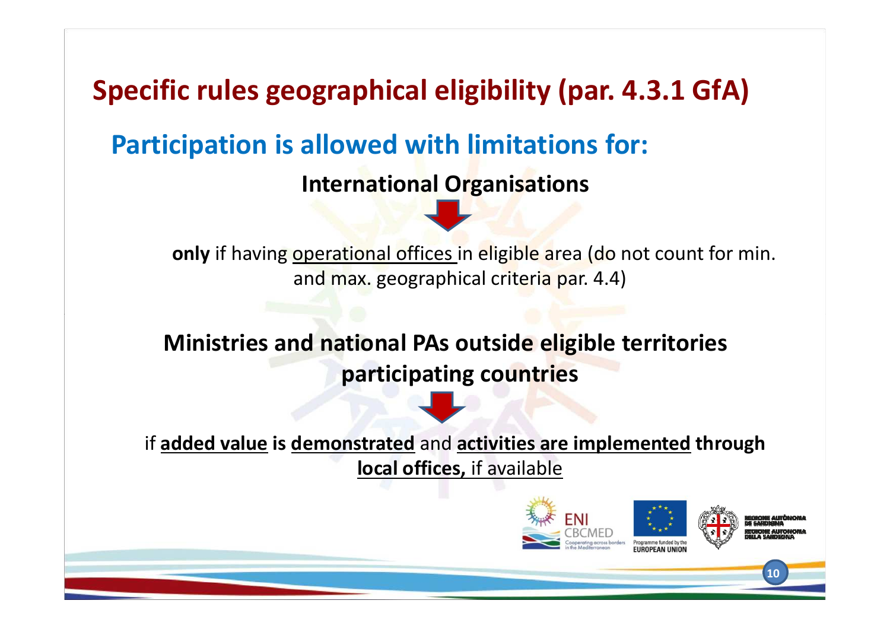**Specific rules geographical eligibility (par. 4.3.1 GfA)**

**Participation is allowed with limitations for:**

**International Organisations**

**only** if having operational offices in eligible area (do not count for min. and max. geographical criteria par. 4.4)

**Ministries and national PAs outside eligible territories participating countries**

if **added value is demonstrated** and **activities are implemented through local offices,** if available

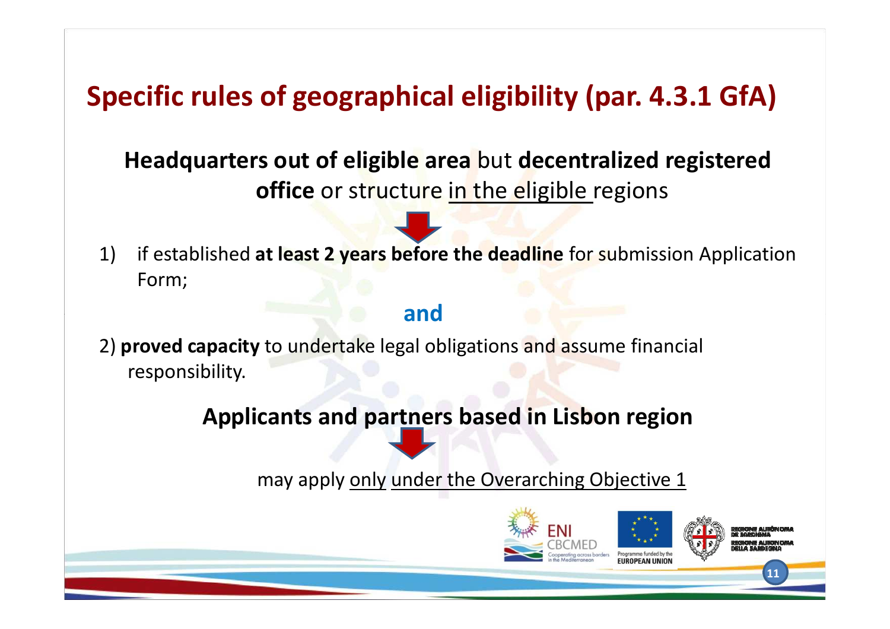## **Specific rules of geographical eligibility (par. 4.3.1 GfA)**

### **Headquarters out of eligible area** but **decentralized registered office** or structure in the eligible regions

1) if established **at least 2 years before the deadline** for submission Application Form;

#### **and**

2) **proved capacity** to undertake legal obligations and assume financial responsibility.

#### **Applicants and partners based in Lisbon region**

may apply only under the Overarching Objective 1

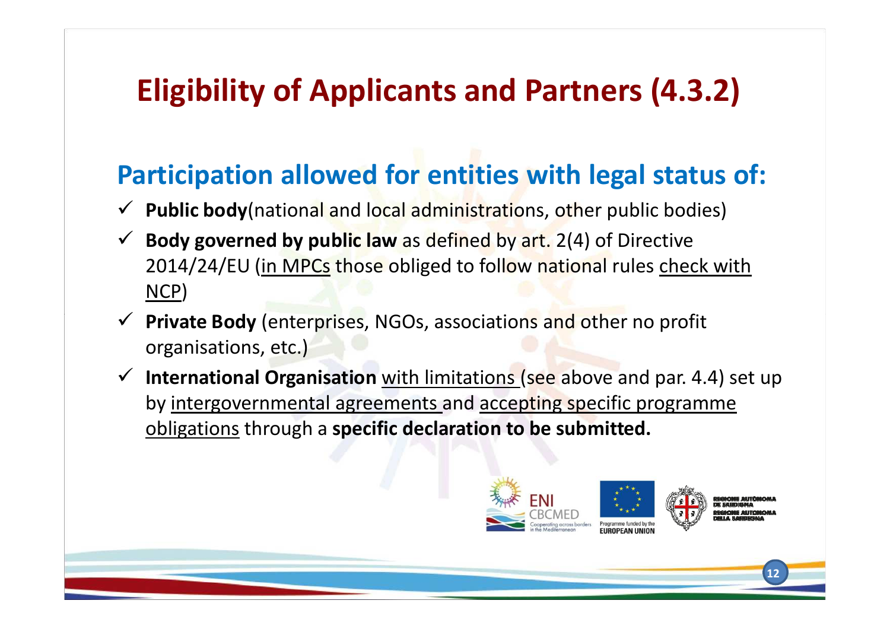## **Eligibility of Applicants and Partners (4.3.2)**

## **Participation allowed for entities with legal status of:**

- **Public body**(national and local administrations, other public bodies)
- **Body governed by public law** as defined by art. 2(4) of Directive 2014/24/EU (in MPCs those obliged to follow national rules check with NCP)
- **Private Body** (enterprises, NGOs, associations and other no profit organisations, etc.)
- $\checkmark$  **International Organisation** with limitations (see above and par. 4.4) set up by intergovernmental agreements and accepting specific programme obligations through a **specific declaration to be submitted.**

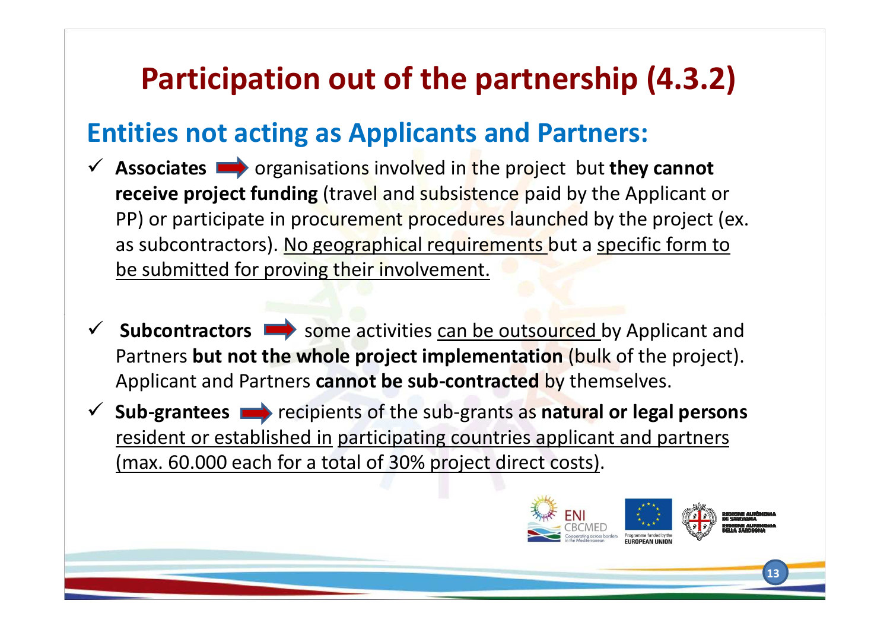## **Participation out of the partnership (4.3.2)**

### **Entities not acting as Applicants and Partners:**

- **Associates** organisations involved in the project but **they cannot receive project funding** (travel and subsistence paid by the Applicant or PP) or participate in procurement procedures launched by the project (ex. as subcontractors). No geographical requirements but a specific form to be submitted for proving their involvement.
- **Subcontractors**  $\rightarrow$  some activities can be outsourced by Applicant and<br>Destroys but not the whole project implementation (bull of the project) Partners **but not the whole project implementation** (bulk of the project). Applicant and Partners **cannot be sub-contracted** by themselves.
- **Sub-grantees** recipients of the sub-grants as **natural or legal persons**  resident or established in participating countries applicant and partners (max. 60.000 each for a total of 30% project direct costs).

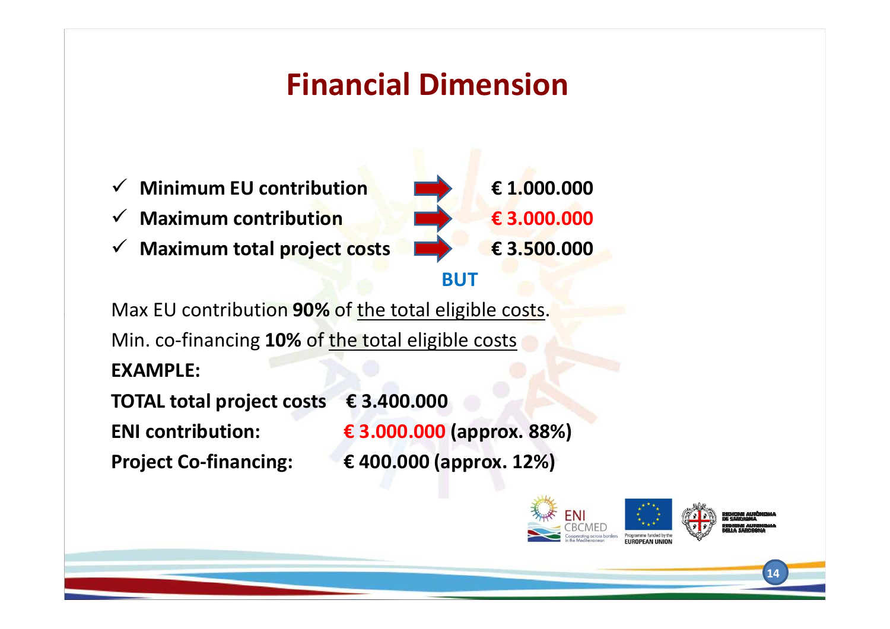## **Financial Dimension**



Max EU contribution **90%** of the total eligible costs. Min. co-financing **10%** of the total eligible costs **EXAMPLE:** 

**TOTAL total project costs € 3.400.000**

**ENI contribution: € 3.000.000 (approx. 88%) Project Co-financing: € 400.000 (approx. 12%)**

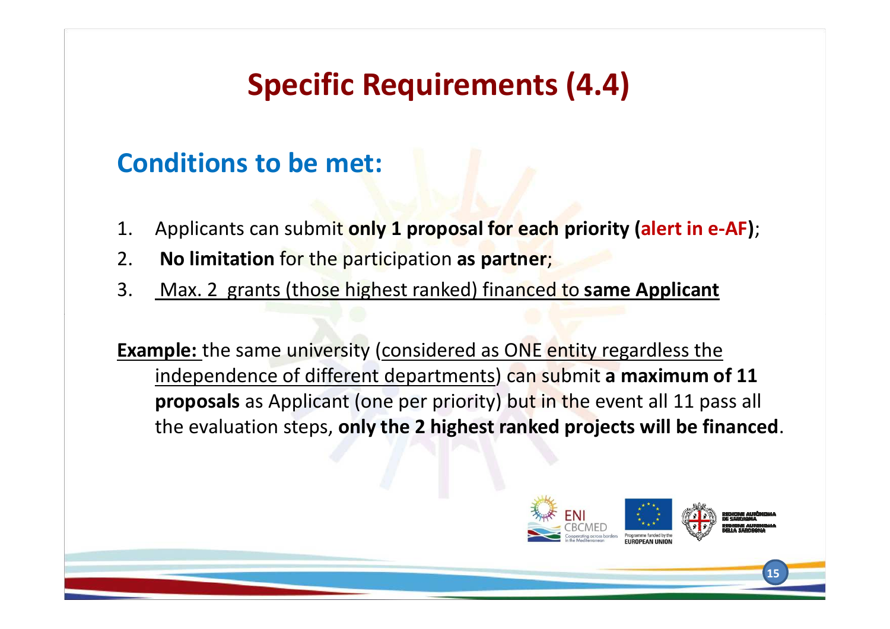## **Specific Requirements (4.4)**

### **Conditions to be met:**

- 1. Applicants can submit **only 1 proposal for each priority (alert in e-AF)**;
- 2.**No limitation** for the participation **as partner**;
- 3. Max. 2 grants (those highest ranked) financed to **same Applicant**

**Example:** the same university (considered as ONE entity regardless the independence of different departments) can submit **a maximum of 11 proposals** as Applicant (one per priority) but in the event all 11 pass all the evaluation steps, **only the 2 highest ranked projects will be financed**.

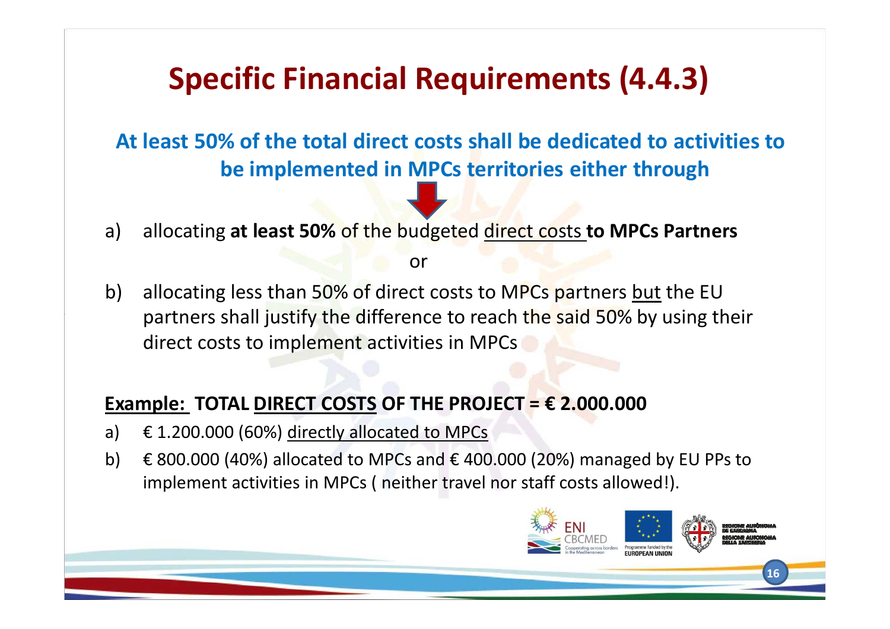## **Specific Financial Requirements (4.4.3)**

**At least 50% of the total direct costs shall be dedicated to activities to be implemented in MPCs territories either through**

a) allocating **at least 50%** of the budgeted direct costs **to MPCs Partners**

or

b) allocating less than 50% of direct costs to MPCs partners but the EU partners shall justify the difference to reach the said 50% by using their direct costs to implement activities in MPCs

#### **Example: TOTAL DIRECT COSTS OF THE PROJECT =**  $\epsilon$  **2.000.000**

- a)  $\epsilon$  1.200.000 (60%) directly allocated to MPCs
- b)  $\epsilon$  800.000 (40%) allocated to MPCs and  $\epsilon$  400.000 (20%) managed by EU PPs to implement activities in MPCs ( neither travel nor staff costs allowed!).

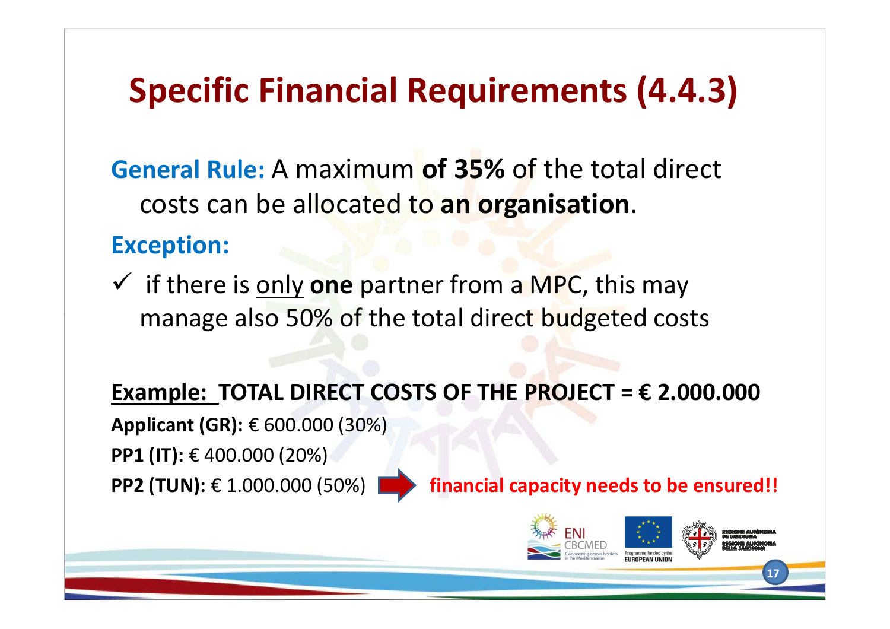# **Specific Financial Requirements (4.4.3)**

**General Rule:** A maximum **of 35%** of the total direct costs can be allocated to **an organisation**.

### **Exception:**

 if there is only **one** partner from a MPC, this may manage also 50% of the total direct budgeted costs

**Example: TOTAL DIRECT COSTS OF THE PROJECT = € 2.000.000**

**Applicant (GR):** € 600.000 (30%) **PP1 (IT): € 400.000 (20%) PP2 (TUN): € 1.000.000 (50%) |** 

financial capacity needs to be ensured!!